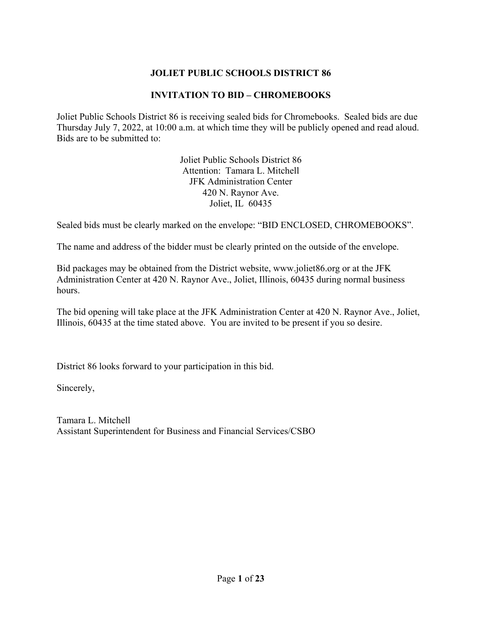### **JOLIET PUBLIC SCHOOLS DISTRICT 86**

### **INVITATION TO BID – CHROMEBOOKS**

Joliet Public Schools District 86 is receiving sealed bids for Chromebooks. Sealed bids are due Thursday July 7, 2022, at 10:00 a.m. at which time they will be publicly opened and read aloud. Bids are to be submitted to:

> Joliet Public Schools District 86 Attention: Tamara L. Mitchell JFK Administration Center 420 N. Raynor Ave. Joliet, IL 60435

Sealed bids must be clearly marked on the envelope: "BID ENCLOSED, CHROMEBOOKS".

The name and address of the bidder must be clearly printed on the outside of the envelope.

Bid packages may be obtained from the District website, www.joliet86.org or at the JFK Administration Center at 420 N. Raynor Ave., Joliet, Illinois, 60435 during normal business hours.

The bid opening will take place at the JFK Administration Center at 420 N. Raynor Ave., Joliet, Illinois, 60435 at the time stated above. You are invited to be present if you so desire.

District 86 looks forward to your participation in this bid.

Sincerely,

Tamara L. Mitchell Assistant Superintendent for Business and Financial Services/CSBO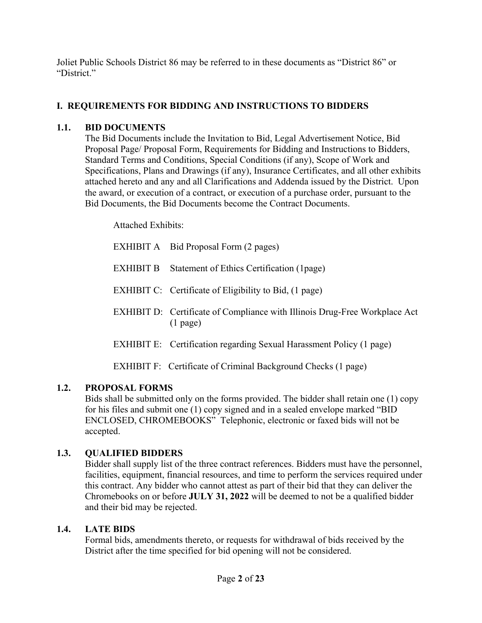Joliet Public Schools District 86 may be referred to in these documents as "District 86" or "District."

# **I. REQUIREMENTS FOR BIDDING AND INSTRUCTIONS TO BIDDERS**

# **1.1. BID DOCUMENTS**

The Bid Documents include the Invitation to Bid, Legal Advertisement Notice, Bid Proposal Page/ Proposal Form, Requirements for Bidding and Instructions to Bidders, Standard Terms and Conditions, Special Conditions (if any), Scope of Work and Specifications, Plans and Drawings (if any), Insurance Certificates, and all other exhibits attached hereto and any and all Clarifications and Addenda issued by the District. Upon the award, or execution of a contract, or execution of a purchase order, pursuant to the Bid Documents, the Bid Documents become the Contract Documents.

Attached Exhibits:

|           | EXHIBIT A Bid Proposal Form (2 pages)                                                           |
|-----------|-------------------------------------------------------------------------------------------------|
| EXHIBIT B | Statement of Ethics Certification (1 page)                                                      |
|           | EXHIBIT C: Certificate of Eligibility to Bid, (1 page)                                          |
|           | <b>EXHIBIT D:</b> Certificate of Compliance with Illinois Drug-Free Workplace Act<br>$(1$ page) |
|           | <b>EXHIBIT E:</b> Certification regarding Sexual Harassment Policy (1 page)                     |
|           | EXHIBIT F: Certificate of Criminal Background Checks (1 page)                                   |

# **1.2. PROPOSAL FORMS**

Bids shall be submitted only on the forms provided. The bidder shall retain one (1) copy for his files and submit one (1) copy signed and in a sealed envelope marked "BID ENCLOSED, CHROMEBOOKS" Telephonic, electronic or faxed bids will not be accepted.

# **1.3. QUALIFIED BIDDERS**

Bidder shall supply list of the three contract references. Bidders must have the personnel, facilities, equipment, financial resources, and time to perform the services required under this contract. Any bidder who cannot attest as part of their bid that they can deliver the Chromebooks on or before **JULY 31, 2022** will be deemed to not be a qualified bidder and their bid may be rejected.

# **1.4. LATE BIDS**

Formal bids, amendments thereto, or requests for withdrawal of bids received by the District after the time specified for bid opening will not be considered.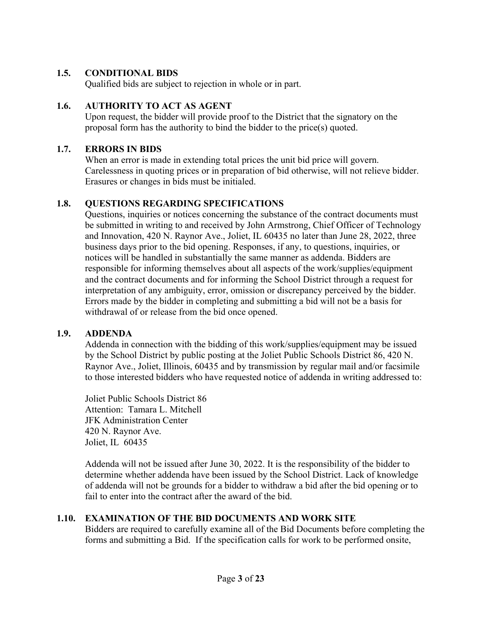### **1.5. CONDITIONAL BIDS**

Qualified bids are subject to rejection in whole or in part.

### **1.6. AUTHORITY TO ACT AS AGENT**

Upon request, the bidder will provide proof to the District that the signatory on the proposal form has the authority to bind the bidder to the price(s) quoted.

#### **1.7. ERRORS IN BIDS**

When an error is made in extending total prices the unit bid price will govern. Carelessness in quoting prices or in preparation of bid otherwise, will not relieve bidder. Erasures or changes in bids must be initialed.

### **1.8. QUESTIONS REGARDING SPECIFICATIONS**

Questions, inquiries or notices concerning the substance of the contract documents must be submitted in writing to and received by John Armstrong, Chief Officer of Technology and Innovation, 420 N. Raynor Ave., Joliet, IL 60435 no later than June 28, 2022, three business days prior to the bid opening. Responses, if any, to questions, inquiries, or notices will be handled in substantially the same manner as addenda. Bidders are responsible for informing themselves about all aspects of the work/supplies/equipment and the contract documents and for informing the School District through a request for interpretation of any ambiguity, error, omission or discrepancy perceived by the bidder. Errors made by the bidder in completing and submitting a bid will not be a basis for withdrawal of or release from the bid once opened.

#### **1.9. ADDENDA**

Addenda in connection with the bidding of this work/supplies/equipment may be issued by the School District by public posting at the Joliet Public Schools District 86, 420 N. Raynor Ave., Joliet, Illinois, 60435 and by transmission by regular mail and/or facsimile to those interested bidders who have requested notice of addenda in writing addressed to:

Joliet Public Schools District 86 Attention: Tamara L. Mitchell JFK Administration Center 420 N. Raynor Ave. Joliet, IL 60435

Addenda will not be issued after June 30, 2022. It is the responsibility of the bidder to determine whether addenda have been issued by the School District. Lack of knowledge of addenda will not be grounds for a bidder to withdraw a bid after the bid opening or to fail to enter into the contract after the award of the bid.

#### **1.10. EXAMINATION OF THE BID DOCUMENTS AND WORK SITE**

Bidders are required to carefully examine all of the Bid Documents before completing the forms and submitting a Bid. If the specification calls for work to be performed onsite,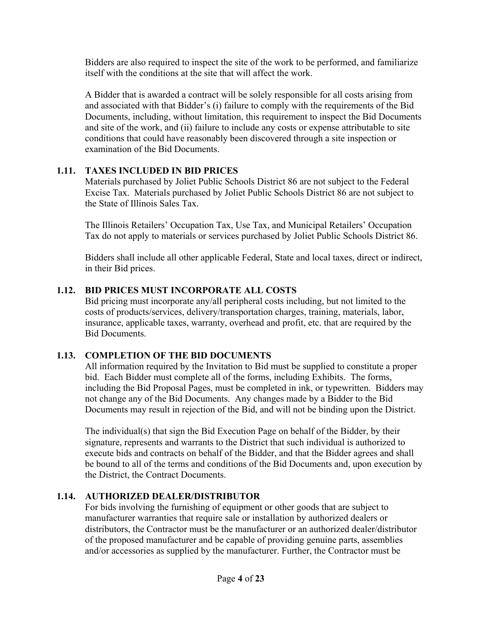Bidders are also required to inspect the site of the work to be performed, and familiarize itself with the conditions at the site that will affect the work.

A Bidder that is awarded a contract will be solely responsible for all costs arising from and associated with that Bidder's (i) failure to comply with the requirements of the Bid Documents, including, without limitation, this requirement to inspect the Bid Documents and site of the work, and (ii) failure to include any costs or expense attributable to site conditions that could have reasonably been discovered through a site inspection or examination of the Bid Documents.

# **1.11. TAXES INCLUDED IN BID PRICES**

Materials purchased by Joliet Public Schools District 86 are not subject to the Federal Excise Tax. Materials purchased by Joliet Public Schools District 86 are not subject to the State of Illinois Sales Tax.

The Illinois Retailers' Occupation Tax, Use Tax, and Municipal Retailers' Occupation Tax do not apply to materials or services purchased by Joliet Public Schools District 86.

Bidders shall include all other applicable Federal, State and local taxes, direct or indirect, in their Bid prices.

# **1.12. BID PRICES MUST INCORPORATE ALL COSTS**

Bid pricing must incorporate any/all peripheral costs including, but not limited to the costs of products/services, delivery/transportation charges, training, materials, labor, insurance, applicable taxes, warranty, overhead and profit, etc. that are required by the Bid Documents.

# **1.13. COMPLETION OF THE BID DOCUMENTS**

All information required by the Invitation to Bid must be supplied to constitute a proper bid. Each Bidder must complete all of the forms, including Exhibits. The forms, including the Bid Proposal Pages, must be completed in ink, or typewritten. Bidders may not change any of the Bid Documents. Any changes made by a Bidder to the Bid Documents may result in rejection of the Bid, and will not be binding upon the District.

The individual(s) that sign the Bid Execution Page on behalf of the Bidder, by their signature, represents and warrants to the District that such individual is authorized to execute bids and contracts on behalf of the Bidder, and that the Bidder agrees and shall be bound to all of the terms and conditions of the Bid Documents and, upon execution by the District, the Contract Documents.

# **1.14. AUTHORIZED DEALER/DISTRIBUTOR**

For bids involving the furnishing of equipment or other goods that are subject to manufacturer warranties that require sale or installation by authorized dealers or distributors, the Contractor must be the manufacturer or an authorized dealer/distributor of the proposed manufacturer and be capable of providing genuine parts, assemblies and/or accessories as supplied by the manufacturer. Further, the Contractor must be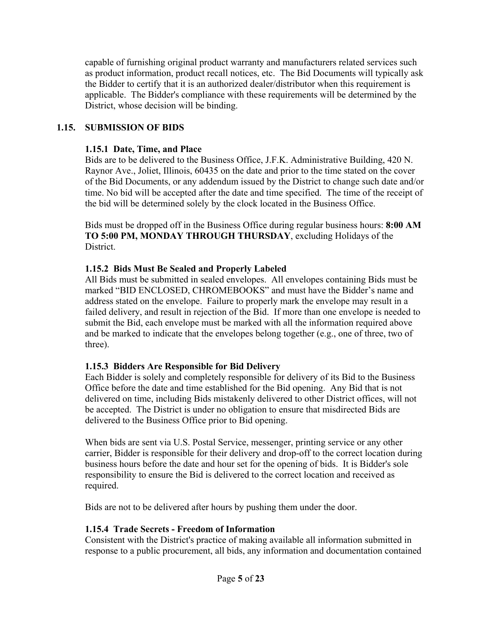capable of furnishing original product warranty and manufacturers related services such as product information, product recall notices, etc. The Bid Documents will typically ask the Bidder to certify that it is an authorized dealer/distributor when this requirement is applicable. The Bidder's compliance with these requirements will be determined by the District, whose decision will be binding.

### **1.15. SUBMISSION OF BIDS**

### **1.15.1 Date, Time, and Place**

Bids are to be delivered to the Business Office, J.F.K. Administrative Building, 420 N. Raynor Ave., Joliet, Illinois, 60435 on the date and prior to the time stated on the cover of the Bid Documents, or any addendum issued by the District to change such date and/or time. No bid will be accepted after the date and time specified. The time of the receipt of the bid will be determined solely by the clock located in the Business Office.

Bids must be dropped off in the Business Office during regular business hours: **8:00 AM TO 5:00 PM, MONDAY THROUGH THURSDAY**, excluding Holidays of the District.

### **1.15.2 Bids Must Be Sealed and Properly Labeled**

All Bids must be submitted in sealed envelopes. All envelopes containing Bids must be marked "BID ENCLOSED, CHROMEBOOKS" and must have the Bidder's name and address stated on the envelope. Failure to properly mark the envelope may result in a failed delivery, and result in rejection of the Bid. If more than one envelope is needed to submit the Bid, each envelope must be marked with all the information required above and be marked to indicate that the envelopes belong together (e.g., one of three, two of three).

# **1.15.3 Bidders Are Responsible for Bid Delivery**

Each Bidder is solely and completely responsible for delivery of its Bid to the Business Office before the date and time established for the Bid opening. Any Bid that is not delivered on time, including Bids mistakenly delivered to other District offices, will not be accepted. The District is under no obligation to ensure that misdirected Bids are delivered to the Business Office prior to Bid opening.

When bids are sent via U.S. Postal Service, messenger, printing service or any other carrier, Bidder is responsible for their delivery and drop-off to the correct location during business hours before the date and hour set for the opening of bids. It is Bidder's sole responsibility to ensure the Bid is delivered to the correct location and received as required.

Bids are not to be delivered after hours by pushing them under the door.

#### **1.15.4 Trade Secrets - Freedom of Information**

Consistent with the District's practice of making available all information submitted in response to a public procurement, all bids, any information and documentation contained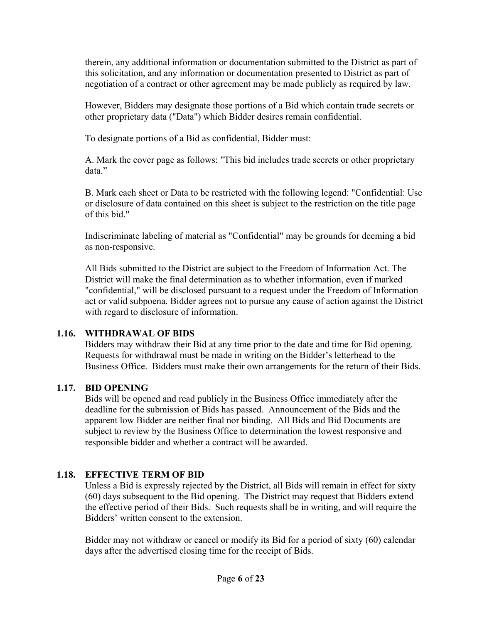therein, any additional information or documentation submitted to the District as part of this solicitation, and any information or documentation presented to District as part of negotiation of a contract or other agreement may be made publicly as required by law.

However, Bidders may designate those portions of a Bid which contain trade secrets or other proprietary data ("Data") which Bidder desires remain confidential.

To designate portions of a Bid as confidential, Bidder must:

A. Mark the cover page as follows: "This bid includes trade secrets or other proprietary data."

B. Mark each sheet or Data to be restricted with the following legend: "Confidential: Use or disclosure of data contained on this sheet is subject to the restriction on the title page of this bid."

Indiscriminate labeling of material as "Confidential" may be grounds for deeming a bid as non-responsive.

All Bids submitted to the District are subject to the Freedom of Information Act. The District will make the final determination as to whether information, even if marked "confidential," will be disclosed pursuant to a request under the Freedom of Information act or valid subpoena. Bidder agrees not to pursue any cause of action against the District with regard to disclosure of information.

# **1.16. WITHDRAWAL OF BIDS**

Bidders may withdraw their Bid at any time prior to the date and time for Bid opening. Requests for withdrawal must be made in writing on the Bidder's letterhead to the Business Office. Bidders must make their own arrangements for the return of their Bids.

# **1.17. BID OPENING**

Bids will be opened and read publicly in the Business Office immediately after the deadline for the submission of Bids has passed. Announcement of the Bids and the apparent low Bidder are neither final nor binding. All Bids and Bid Documents are subject to review by the Business Office to determination the lowest responsive and responsible bidder and whether a contract will be awarded.

# **1.18. EFFECTIVE TERM OF BID**

Unless a Bid is expressly rejected by the District, all Bids will remain in effect for sixty (60) days subsequent to the Bid opening. The District may request that Bidders extend the effective period of their Bids. Such requests shall be in writing, and will require the Bidders' written consent to the extension.

Bidder may not withdraw or cancel or modify its Bid for a period of sixty (60) calendar days after the advertised closing time for the receipt of Bids.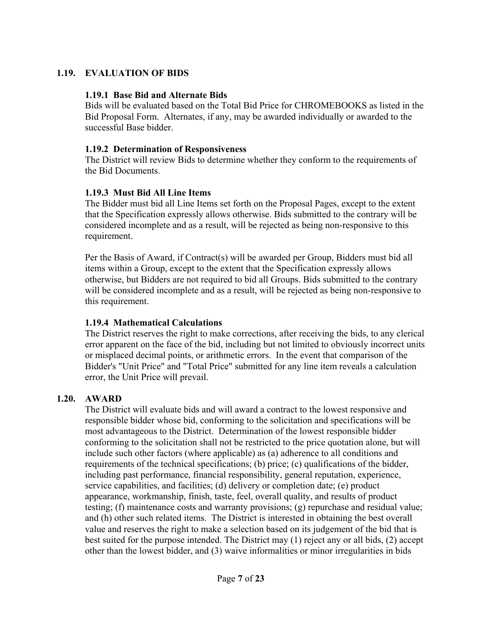### **1.19. EVALUATION OF BIDS**

#### **1.19.1 Base Bid and Alternate Bids**

Bids will be evaluated based on the Total Bid Price for CHROMEBOOKS as listed in the Bid Proposal Form. Alternates, if any, may be awarded individually or awarded to the successful Base bidder.

#### **1.19.2 Determination of Responsiveness**

The District will review Bids to determine whether they conform to the requirements of the Bid Documents.

#### **1.19.3 Must Bid All Line Items**

The Bidder must bid all Line Items set forth on the Proposal Pages, except to the extent that the Specification expressly allows otherwise. Bids submitted to the contrary will be considered incomplete and as a result, will be rejected as being non-responsive to this requirement.

Per the Basis of Award, if Contract(s) will be awarded per Group, Bidders must bid all items within a Group, except to the extent that the Specification expressly allows otherwise, but Bidders are not required to bid all Groups. Bids submitted to the contrary will be considered incomplete and as a result, will be rejected as being non-responsive to this requirement.

#### **1.19.4 Mathematical Calculations**

The District reserves the right to make corrections, after receiving the bids, to any clerical error apparent on the face of the bid, including but not limited to obviously incorrect units or misplaced decimal points, or arithmetic errors. In the event that comparison of the Bidder's "Unit Price" and "Total Price" submitted for any line item reveals a calculation error, the Unit Price will prevail.

#### **1.20. AWARD**

The District will evaluate bids and will award a contract to the lowest responsive and responsible bidder whose bid, conforming to the solicitation and specifications will be most advantageous to the District. Determination of the lowest responsible bidder conforming to the solicitation shall not be restricted to the price quotation alone, but will include such other factors (where applicable) as (a) adherence to all conditions and requirements of the technical specifications; (b) price; (c) qualifications of the bidder, including past performance, financial responsibility, general reputation, experience, service capabilities, and facilities; (d) delivery or completion date; (e) product appearance, workmanship, finish, taste, feel, overall quality, and results of product testing; (f) maintenance costs and warranty provisions; (g) repurchase and residual value; and (h) other such related items. The District is interested in obtaining the best overall value and reserves the right to make a selection based on its judgement of the bid that is best suited for the purpose intended. The District may (1) reject any or all bids, (2) accept other than the lowest bidder, and (3) waive informalities or minor irregularities in bids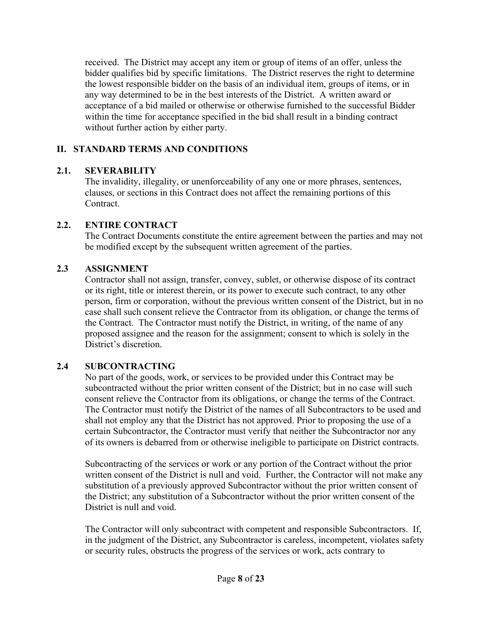received. The District may accept any item or group of items of an offer, unless the bidder qualifies bid by specific limitations. The District reserves the right to determine the lowest responsible bidder on the basis of an individual item, groups of items, or in any way determined to be in the best interests of the District. A written award or acceptance of a bid mailed or otherwise or otherwise furnished to the successful Bidder within the time for acceptance specified in the bid shall result in a binding contract without further action by either party.

# **II. STANDARD TERMS AND CONDITIONS**

### **2.1. SEVERABILITY**

The invalidity, illegality, or unenforceability of any one or more phrases, sentences, clauses, or sections in this Contract does not affect the remaining portions of this Contract.

### **2.2. ENTIRE CONTRACT**

The Contract Documents constitute the entire agreement between the parties and may not be modified except by the subsequent written agreement of the parties.

### **2.3 ASSIGNMENT**

Contractor shall not assign, transfer, convey, sublet, or otherwise dispose of its contract or its right, title or interest therein, or its power to execute such contract, to any other person, firm or corporation, without the previous written consent of the District, but in no case shall such consent relieve the Contractor from its obligation, or change the terms of the Contract. The Contractor must notify the District, in writing, of the name of any proposed assignee and the reason for the assignment; consent to which is solely in the District's discretion.

# **2.4 SUBCONTRACTING**

No part of the goods, work, or services to be provided under this Contract may be subcontracted without the prior written consent of the District; but in no case will such consent relieve the Contractor from its obligations, or change the terms of the Contract. The Contractor must notify the District of the names of all Subcontractors to be used and shall not employ any that the District has not approved. Prior to proposing the use of a certain Subcontractor, the Contractor must verify that neither the Subcontractor nor any of its owners is debarred from or otherwise ineligible to participate on District contracts.

Subcontracting of the services or work or any portion of the Contract without the prior written consent of the District is null and void. Further, the Contractor will not make any substitution of a previously approved Subcontractor without the prior written consent of the District; any substitution of a Subcontractor without the prior written consent of the District is null and void.

The Contractor will only subcontract with competent and responsible Subcontractors. If, in the judgment of the District, any Subcontractor is careless, incompetent, violates safety or security rules, obstructs the progress of the services or work, acts contrary to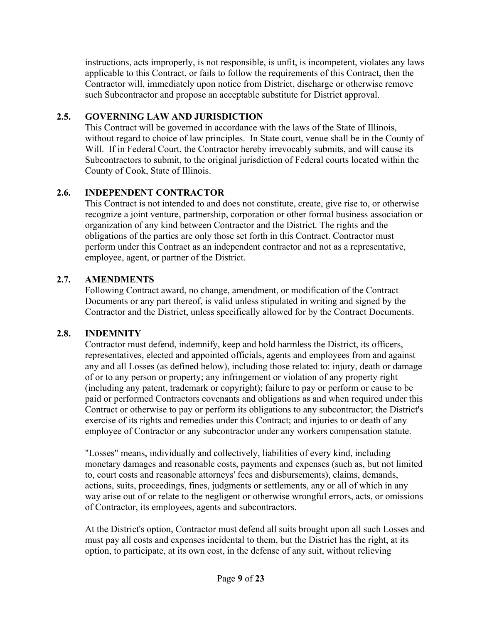instructions, acts improperly, is not responsible, is unfit, is incompetent, violates any laws applicable to this Contract, or fails to follow the requirements of this Contract, then the Contractor will, immediately upon notice from District, discharge or otherwise remove such Subcontractor and propose an acceptable substitute for District approval.

# **2.5. GOVERNING LAW AND JURISDICTION**

This Contract will be governed in accordance with the laws of the State of Illinois, without regard to choice of law principles. In State court, venue shall be in the County of Will. If in Federal Court, the Contractor hereby irrevocably submits, and will cause its Subcontractors to submit, to the original jurisdiction of Federal courts located within the County of Cook, State of Illinois.

# **2.6. INDEPENDENT CONTRACTOR**

This Contract is not intended to and does not constitute, create, give rise to, or otherwise recognize a joint venture, partnership, corporation or other formal business association or organization of any kind between Contractor and the District. The rights and the obligations of the parties are only those set forth in this Contract. Contractor must perform under this Contract as an independent contractor and not as a representative, employee, agent, or partner of the District.

# **2.7. AMENDMENTS**

Following Contract award, no change, amendment, or modification of the Contract Documents or any part thereof, is valid unless stipulated in writing and signed by the Contractor and the District, unless specifically allowed for by the Contract Documents.

# **2.8. INDEMNITY**

Contractor must defend, indemnify, keep and hold harmless the District, its officers, representatives, elected and appointed officials, agents and employees from and against any and all Losses (as defined below), including those related to: injury, death or damage of or to any person or property; any infringement or violation of any property right (including any patent, trademark or copyright); failure to pay or perform or cause to be paid or performed Contractors covenants and obligations as and when required under this Contract or otherwise to pay or perform its obligations to any subcontractor; the District's exercise of its rights and remedies under this Contract; and injuries to or death of any employee of Contractor or any subcontractor under any workers compensation statute.

"Losses" means, individually and collectively, liabilities of every kind, including monetary damages and reasonable costs, payments and expenses (such as, but not limited to, court costs and reasonable attorneys' fees and disbursements), claims, demands, actions, suits, proceedings, fines, judgments or settlements, any or all of which in any way arise out of or relate to the negligent or otherwise wrongful errors, acts, or omissions of Contractor, its employees, agents and subcontractors.

At the District's option, Contractor must defend all suits brought upon all such Losses and must pay all costs and expenses incidental to them, but the District has the right, at its option, to participate, at its own cost, in the defense of any suit, without relieving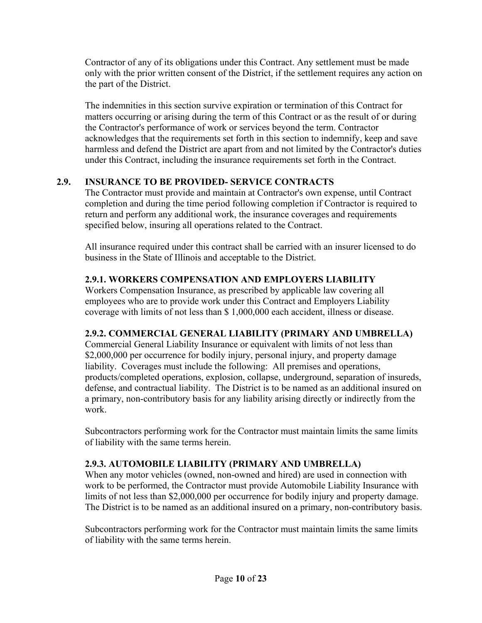Contractor of any of its obligations under this Contract. Any settlement must be made only with the prior written consent of the District, if the settlement requires any action on the part of the District.

The indemnities in this section survive expiration or termination of this Contract for matters occurring or arising during the term of this Contract or as the result of or during the Contractor's performance of work or services beyond the term. Contractor acknowledges that the requirements set forth in this section to indemnify, keep and save harmless and defend the District are apart from and not limited by the Contractor's duties under this Contract, including the insurance requirements set forth in the Contract.

# **2.9. INSURANCE TO BE PROVIDED- SERVICE CONTRACTS**

The Contractor must provide and maintain at Contractor's own expense, until Contract completion and during the time period following completion if Contractor is required to return and perform any additional work, the insurance coverages and requirements specified below, insuring all operations related to the Contract.

All insurance required under this contract shall be carried with an insurer licensed to do business in the State of Illinois and acceptable to the District.

# **2.9.1. WORKERS COMPENSATION AND EMPLOYERS LIABILITY**

Workers Compensation Insurance, as prescribed by applicable law covering all employees who are to provide work under this Contract and Employers Liability coverage with limits of not less than \$ 1,000,000 each accident, illness or disease.

# **2.9.2. COMMERCIAL GENERAL LIABILITY (PRIMARY AND UMBRELLA)**

Commercial General Liability Insurance or equivalent with limits of not less than \$2,000,000 per occurrence for bodily injury, personal injury, and property damage liability. Coverages must include the following: All premises and operations, products/completed operations, explosion, collapse, underground, separation of insureds, defense, and contractual liability. The District is to be named as an additional insured on a primary, non-contributory basis for any liability arising directly or indirectly from the work.

Subcontractors performing work for the Contractor must maintain limits the same limits of liability with the same terms herein.

# **2.9.3. AUTOMOBILE LIABILITY (PRIMARY AND UMBRELLA)**

When any motor vehicles (owned, non-owned and hired) are used in connection with work to be performed, the Contractor must provide Automobile Liability Insurance with limits of not less than \$2,000,000 per occurrence for bodily injury and property damage. The District is to be named as an additional insured on a primary, non-contributory basis.

Subcontractors performing work for the Contractor must maintain limits the same limits of liability with the same terms herein.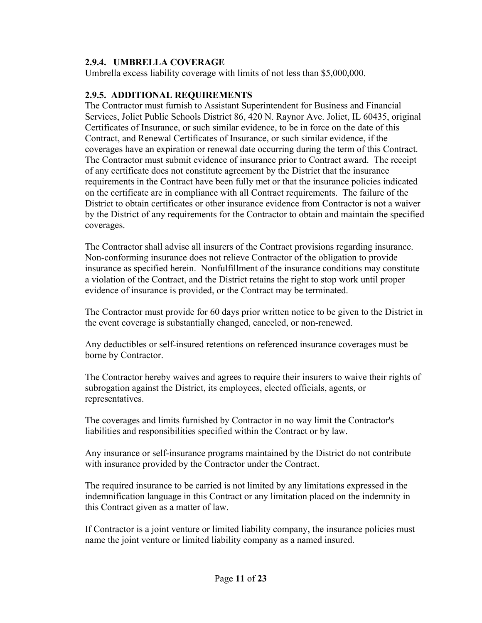### **2.9.4. UMBRELLA COVERAGE**

Umbrella excess liability coverage with limits of not less than \$5,000,000.

### **2.9.5. ADDITIONAL REQUIREMENTS**

The Contractor must furnish to Assistant Superintendent for Business and Financial Services, Joliet Public Schools District 86, 420 N. Raynor Ave. Joliet, IL 60435, original Certificates of Insurance, or such similar evidence, to be in force on the date of this Contract, and Renewal Certificates of Insurance, or such similar evidence, if the coverages have an expiration or renewal date occurring during the term of this Contract. The Contractor must submit evidence of insurance prior to Contract award. The receipt of any certificate does not constitute agreement by the District that the insurance requirements in the Contract have been fully met or that the insurance policies indicated on the certificate are in compliance with all Contract requirements. The failure of the District to obtain certificates or other insurance evidence from Contractor is not a waiver by the District of any requirements for the Contractor to obtain and maintain the specified coverages.

The Contractor shall advise all insurers of the Contract provisions regarding insurance. Non-conforming insurance does not relieve Contractor of the obligation to provide insurance as specified herein. Nonfulfillment of the insurance conditions may constitute a violation of the Contract, and the District retains the right to stop work until proper evidence of insurance is provided, or the Contract may be terminated.

The Contractor must provide for 60 days prior written notice to be given to the District in the event coverage is substantially changed, canceled, or non-renewed.

Any deductibles or self-insured retentions on referenced insurance coverages must be borne by Contractor.

The Contractor hereby waives and agrees to require their insurers to waive their rights of subrogation against the District, its employees, elected officials, agents, or representatives.

The coverages and limits furnished by Contractor in no way limit the Contractor's liabilities and responsibilities specified within the Contract or by law.

Any insurance or self-insurance programs maintained by the District do not contribute with insurance provided by the Contractor under the Contract.

The required insurance to be carried is not limited by any limitations expressed in the indemnification language in this Contract or any limitation placed on the indemnity in this Contract given as a matter of law.

If Contractor is a joint venture or limited liability company, the insurance policies must name the joint venture or limited liability company as a named insured.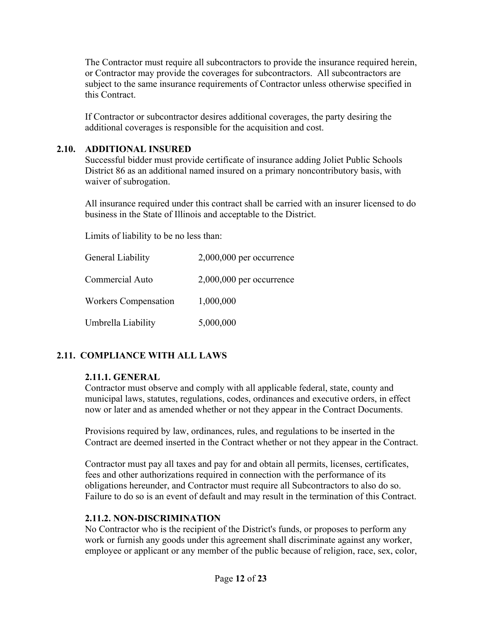The Contractor must require all subcontractors to provide the insurance required herein, or Contractor may provide the coverages for subcontractors. All subcontractors are subject to the same insurance requirements of Contractor unless otherwise specified in this Contract.

If Contractor or subcontractor desires additional coverages, the party desiring the additional coverages is responsible for the acquisition and cost.

### **2.10. ADDITIONAL INSURED**

Successful bidder must provide certificate of insurance adding Joliet Public Schools District 86 as an additional named insured on a primary noncontributory basis, with waiver of subrogation.

All insurance required under this contract shall be carried with an insurer licensed to do business in the State of Illinois and acceptable to the District.

Limits of liability to be no less than:

| General Liability           | $2,000,000$ per occurrence |
|-----------------------------|----------------------------|
| Commercial Auto             | $2,000,000$ per occurrence |
| <b>Workers Compensation</b> | 1,000,000                  |
| Umbrella Liability          | 5,000,000                  |

# **2.11. COMPLIANCE WITH ALL LAWS**

# **2.11.1. GENERAL**

Contractor must observe and comply with all applicable federal, state, county and municipal laws, statutes, regulations, codes, ordinances and executive orders, in effect now or later and as amended whether or not they appear in the Contract Documents.

Provisions required by law, ordinances, rules, and regulations to be inserted in the Contract are deemed inserted in the Contract whether or not they appear in the Contract.

Contractor must pay all taxes and pay for and obtain all permits, licenses, certificates, fees and other authorizations required in connection with the performance of its obligations hereunder, and Contractor must require all Subcontractors to also do so. Failure to do so is an event of default and may result in the termination of this Contract.

#### **2.11.2. NON-DISCRIMINATION**

No Contractor who is the recipient of the District's funds, or proposes to perform any work or furnish any goods under this agreement shall discriminate against any worker, employee or applicant or any member of the public because of religion, race, sex, color,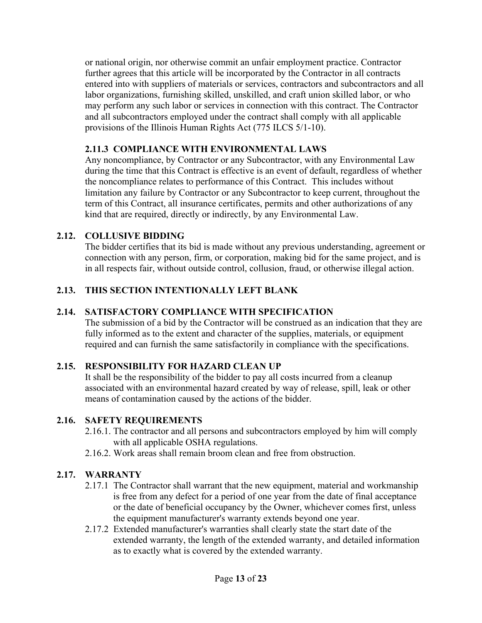or national origin, nor otherwise commit an unfair employment practice. Contractor further agrees that this article will be incorporated by the Contractor in all contracts entered into with suppliers of materials or services, contractors and subcontractors and all labor organizations, furnishing skilled, unskilled, and craft union skilled labor, or who may perform any such labor or services in connection with this contract. The Contractor and all subcontractors employed under the contract shall comply with all applicable provisions of the Illinois Human Rights Act (775 ILCS 5/1-10).

# **2.11.3 COMPLIANCE WITH ENVIRONMENTAL LAWS**

Any noncompliance, by Contractor or any Subcontractor, with any Environmental Law during the time that this Contract is effective is an event of default, regardless of whether the noncompliance relates to performance of this Contract. This includes without limitation any failure by Contractor or any Subcontractor to keep current, throughout the term of this Contract, all insurance certificates, permits and other authorizations of any kind that are required, directly or indirectly, by any Environmental Law.

# **2.12. COLLUSIVE BIDDING**

The bidder certifies that its bid is made without any previous understanding, agreement or connection with any person, firm, or corporation, making bid for the same project, and is in all respects fair, without outside control, collusion, fraud, or otherwise illegal action.

# **2.13. THIS SECTION INTENTIONALLY LEFT BLANK**

# **2.14. SATISFACTORY COMPLIANCE WITH SPECIFICATION**

The submission of a bid by the Contractor will be construed as an indication that they are fully informed as to the extent and character of the supplies, materials, or equipment required and can furnish the same satisfactorily in compliance with the specifications.

# **2.15. RESPONSIBILITY FOR HAZARD CLEAN UP**

It shall be the responsibility of the bidder to pay all costs incurred from a cleanup associated with an environmental hazard created by way of release, spill, leak or other means of contamination caused by the actions of the bidder.

# **2.16. SAFETY REQUIREMENTS**

- 2.16.1. The contractor and all persons and subcontractors employed by him will comply with all applicable OSHA regulations.
- 2.16.2. Work areas shall remain broom clean and free from obstruction.

# **2.17. WARRANTY**

- 2.17.1 The Contractor shall warrant that the new equipment, material and workmanship is free from any defect for a period of one year from the date of final acceptance or the date of beneficial occupancy by the Owner, whichever comes first, unless the equipment manufacturer's warranty extends beyond one year.
- 2.17.2 Extended manufacturer's warranties shall clearly state the start date of the extended warranty, the length of the extended warranty, and detailed information as to exactly what is covered by the extended warranty.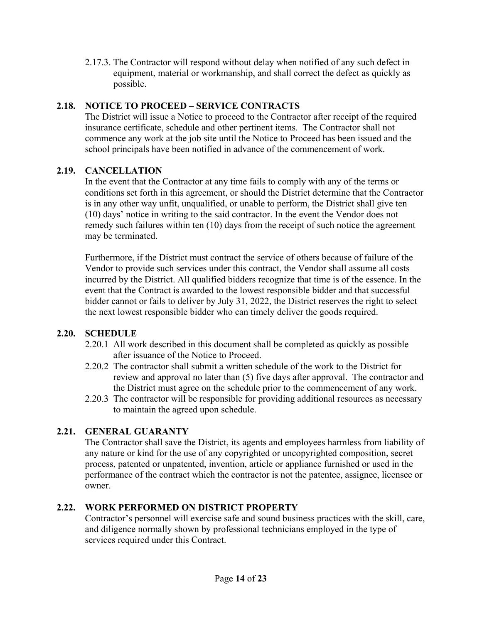2.17.3. The Contractor will respond without delay when notified of any such defect in equipment, material or workmanship, and shall correct the defect as quickly as possible.

# **2.18. NOTICE TO PROCEED – SERVICE CONTRACTS**

The District will issue a Notice to proceed to the Contractor after receipt of the required insurance certificate, schedule and other pertinent items. The Contractor shall not commence any work at the job site until the Notice to Proceed has been issued and the school principals have been notified in advance of the commencement of work.

# **2.19. CANCELLATION**

In the event that the Contractor at any time fails to comply with any of the terms or conditions set forth in this agreement, or should the District determine that the Contractor is in any other way unfit, unqualified, or unable to perform, the District shall give ten (10) days' notice in writing to the said contractor. In the event the Vendor does not remedy such failures within ten (10) days from the receipt of such notice the agreement may be terminated.

Furthermore, if the District must contract the service of others because of failure of the Vendor to provide such services under this contract, the Vendor shall assume all costs incurred by the District. All qualified bidders recognize that time is of the essence. In the event that the Contract is awarded to the lowest responsible bidder and that successful bidder cannot or fails to deliver by July 31, 2022, the District reserves the right to select the next lowest responsible bidder who can timely deliver the goods required.

# **2.20. SCHEDULE**

- 2.20.1 All work described in this document shall be completed as quickly as possible after issuance of the Notice to Proceed.
- 2.20.2 The contractor shall submit a written schedule of the work to the District for review and approval no later than (5) five days after approval. The contractor and the District must agree on the schedule prior to the commencement of any work.
- 2.20.3 The contractor will be responsible for providing additional resources as necessary to maintain the agreed upon schedule.

# **2.21. GENERAL GUARANTY**

The Contractor shall save the District, its agents and employees harmless from liability of any nature or kind for the use of any copyrighted or uncopyrighted composition, secret process, patented or unpatented, invention, article or appliance furnished or used in the performance of the contract which the contractor is not the patentee, assignee, licensee or owner.

# **2.22. WORK PERFORMED ON DISTRICT PROPERTY**

Contractor's personnel will exercise safe and sound business practices with the skill, care, and diligence normally shown by professional technicians employed in the type of services required under this Contract.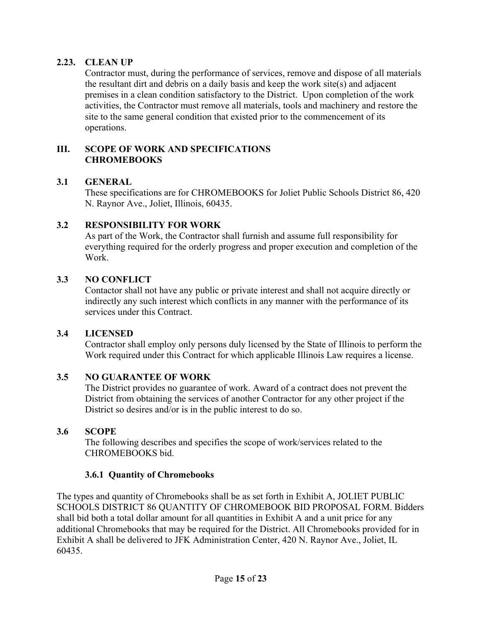### **2.23. CLEAN UP**

Contractor must, during the performance of services, remove and dispose of all materials the resultant dirt and debris on a daily basis and keep the work site(s) and adjacent premises in a clean condition satisfactory to the District. Upon completion of the work activities, the Contractor must remove all materials, tools and machinery and restore the site to the same general condition that existed prior to the commencement of its operations.

### **III. SCOPE OF WORK AND SPECIFICATIONS CHROMEBOOKS**

#### **3.1 GENERAL**

These specifications are for CHROMEBOOKS for Joliet Public Schools District 86, 420 N. Raynor Ave., Joliet, Illinois, 60435.

#### **3.2 RESPONSIBILITY FOR WORK**

As part of the Work, the Contractor shall furnish and assume full responsibility for everything required for the orderly progress and proper execution and completion of the Work.

### **3.3 NO CONFLICT**

Contactor shall not have any public or private interest and shall not acquire directly or indirectly any such interest which conflicts in any manner with the performance of its services under this Contract.

#### **3.4 LICENSED**

Contractor shall employ only persons duly licensed by the State of Illinois to perform the Work required under this Contract for which applicable Illinois Law requires a license.

# **3.5 NO GUARANTEE OF WORK**

The District provides no guarantee of work. Award of a contract does not prevent the District from obtaining the services of another Contractor for any other project if the District so desires and/or is in the public interest to do so.

#### **3.6 SCOPE**

The following describes and specifies the scope of work/services related to the CHROMEBOOKS bid.

#### **3.6.1 Quantity of Chromebooks**

The types and quantity of Chromebooks shall be as set forth in Exhibit A, JOLIET PUBLIC SCHOOLS DISTRICT 86 QUANTITY OF CHROMEBOOK BID PROPOSAL FORM. Bidders shall bid both a total dollar amount for all quantities in Exhibit A and a unit price for any additional Chromebooks that may be required for the District. All Chromebooks provided for in Exhibit A shall be delivered to JFK Administration Center, 420 N. Raynor Ave., Joliet, IL 60435.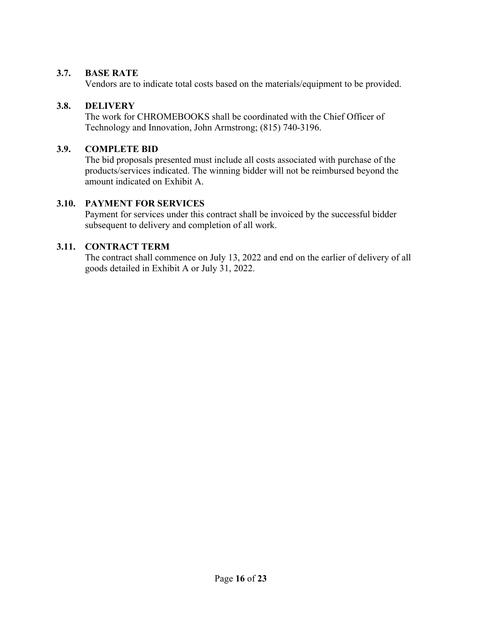### **3.7. BASE RATE**

Vendors are to indicate total costs based on the materials/equipment to be provided.

# **3.8. DELIVERY**

The work for CHROMEBOOKS shall be coordinated with the Chief Officer of Technology and Innovation, John Armstrong; (815) 740-3196.

### **3.9. COMPLETE BID**

The bid proposals presented must include all costs associated with purchase of the products/services indicated. The winning bidder will not be reimbursed beyond the amount indicated on Exhibit A.

### **3.10. PAYMENT FOR SERVICES**

Payment for services under this contract shall be invoiced by the successful bidder subsequent to delivery and completion of all work.

# **3.11. CONTRACT TERM**

The contract shall commence on July 13, 2022 and end on the earlier of delivery of all goods detailed in Exhibit A or July 31, 2022.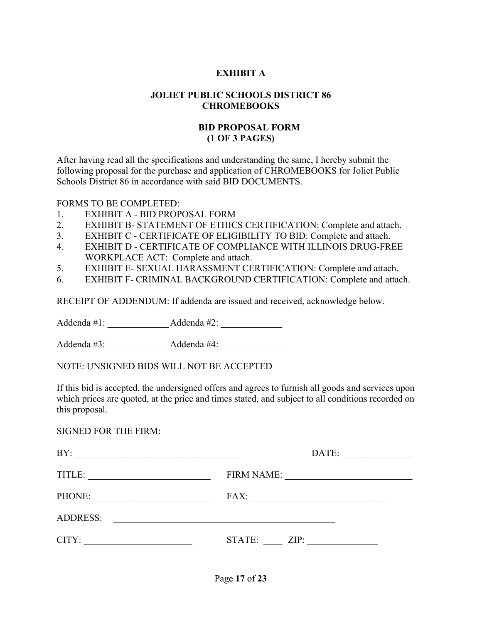### **EXHIBIT A**

#### **JOLIET PUBLIC SCHOOLS DISTRICT 86 CHROMEBOOKS**

### **BID PROPOSAL FORM (1 OF 3 PAGES)**

After having read all the specifications and understanding the same, I hereby submit the following proposal for the purchase and application of CHROMEBOOKS for Joliet Public Schools District 86 in accordance with said BID DOCUMENTS.

FORMS TO BE COMPLETED:

- 1. EXHIBIT A BID PROPOSAL FORM
- 2. EXHIBIT B- STATEMENT OF ETHICS CERTIFICATION: Complete and attach.
- 3. EXHIBIT C CERTIFICATE OF ELIGIBILITY TO BID: Complete and attach.
- 4. EXHIBIT D CERTIFICATE OF COMPLIANCE WITH ILLINOIS DRUG-FREE WORKPLACE ACT: Complete and attach.
- 5. EXHIBIT E- SEXUAL HARASSMENT CERTIFICATION: Complete and attach.
- 6. EXHIBIT F- CRIMINAL BACKGROUND CERTIFICATION: Complete and attach.

RECEIPT OF ADDENDUM: If addenda are issued and received, acknowledge below.

Addenda #1: <br>Addenda #2:

Addenda #3: <br>Addenda #4:

NOTE: UNSIGNED BIDS WILL NOT BE ACCEPTED

If this bid is accepted, the undersigned offers and agrees to furnish all goods and services upon which prices are quoted, at the price and times stated, and subject to all conditions recorded on this proposal.

#### SIGNED FOR THE FIRM:

| BY:             | DATE:             |
|-----------------|-------------------|
| TITLE:          | <b>FIRM NAME:</b> |
| PHONE:          | FAX:              |
| <b>ADDRESS:</b> |                   |
| CITY:           | STATE:<br>ZIP:    |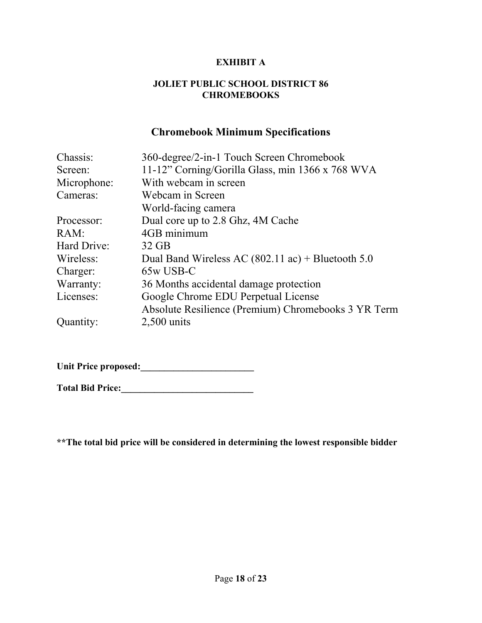### **EXHIBIT A**

#### **JOLIET PUBLIC SCHOOL DISTRICT 86 CHROMEBOOKS**

# **Chromebook Minimum Specifications**

| Chassis:    | 360-degree/2-in-1 Touch Screen Chromebook                   |  |
|-------------|-------------------------------------------------------------|--|
| Screen:     | 11-12" Corning/Gorilla Glass, min 1366 x 768 WVA            |  |
| Microphone: | With webcam in screen                                       |  |
| Cameras:    | Webcam in Screen                                            |  |
|             | World-facing camera                                         |  |
| Processor:  | Dual core up to 2.8 Ghz, 4M Cache                           |  |
| RAM:        | 4GB minimum                                                 |  |
| Hard Drive: | $32$ GB                                                     |  |
| Wireless:   | Dual Band Wireless AC $(802.11 \text{ ac}) +$ Bluetooth 5.0 |  |
| Charger:    | 65w USB-C                                                   |  |
| Warranty:   | 36 Months accidental damage protection                      |  |
| Licenses:   | Google Chrome EDU Perpetual License                         |  |
|             | Absolute Resilience (Premium) Chromebooks 3 YR Term         |  |
| Quantity:   | $2,500$ units                                               |  |

**Unit Price proposed:\_\_\_\_\_\_\_\_\_\_\_\_\_\_\_\_\_\_\_\_\_\_\_\_** 

**Total Bid Price:\_\_\_\_\_\_\_\_\_\_\_\_\_\_\_\_\_\_\_\_\_\_\_\_\_\_\_\_** 

**\*\*The total bid price will be considered in determining the lowest responsible bidder**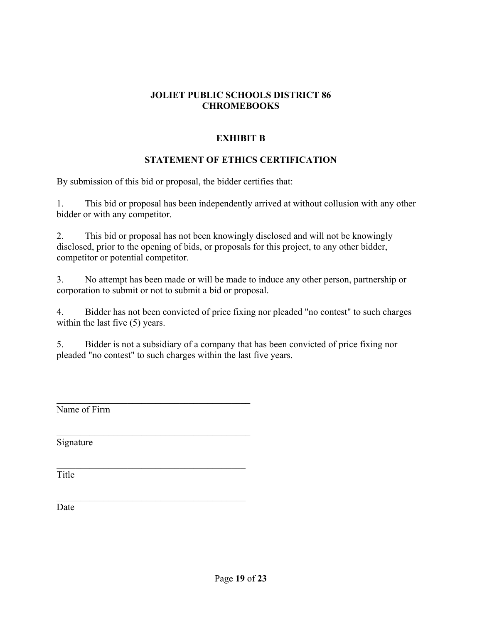# **EXHIBIT B**

# **STATEMENT OF ETHICS CERTIFICATION**

By submission of this bid or proposal, the bidder certifies that:

1. This bid or proposal has been independently arrived at without collusion with any other bidder or with any competitor.

2. This bid or proposal has not been knowingly disclosed and will not be knowingly disclosed, prior to the opening of bids, or proposals for this project, to any other bidder, competitor or potential competitor.

3. No attempt has been made or will be made to induce any other person, partnership or corporation to submit or not to submit a bid or proposal.

4. Bidder has not been convicted of price fixing nor pleaded "no contest" to such charges within the last five  $(5)$  years.

5. Bidder is not a subsidiary of a company that has been convicted of price fixing nor pleaded "no contest" to such charges within the last five years.

Name of Firm

Signature

Title

Date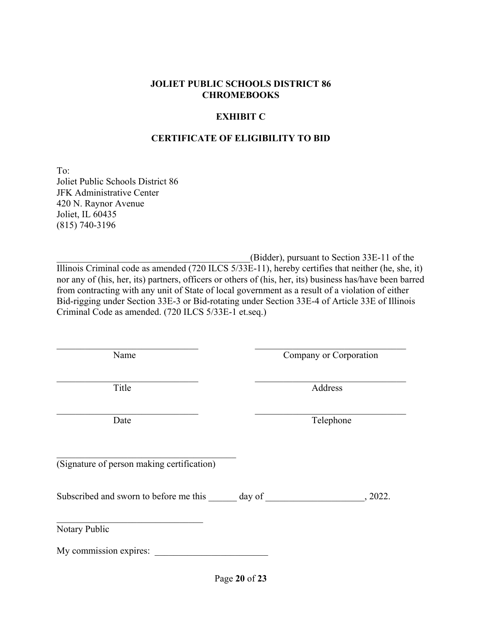### **EXHIBIT C**

### **CERTIFICATE OF ELIGIBILITY TO BID**

To: Joliet Public Schools District 86 JFK Administrative Center 420 N. Raynor Avenue Joliet, IL 60435 (815) 740-3196

\_\_\_\_\_\_\_\_\_\_\_\_\_\_\_\_\_\_\_\_\_\_\_\_\_\_\_\_\_\_\_\_\_\_\_\_\_\_\_\_\_(Bidder), pursuant to Section 33E-11 of the Illinois Criminal code as amended (720 ILCS 5/33E-11), hereby certifies that neither (he, she, it) nor any of (his, her, its) partners, officers or others of (his, her, its) business has/have been barred from contracting with any unit of State of local government as a result of a violation of either Bid-rigging under Section 33E-3 or Bid-rotating under Section 33E-4 of Article 33E of Illinois Criminal Code as amended. (720 ILCS 5/33E-1 et.seq.)

Name Company or Corporation

Title Address

Date Telephone

(Signature of person making certification)

Subscribed and sworn to before me this day of \_\_\_\_\_\_\_\_\_\_\_\_\_\_\_\_\_\_\_\_\_, 2022.

Notary Public

My commission expires: \_\_\_\_\_\_\_\_\_\_\_\_\_\_\_\_\_\_\_\_\_\_\_\_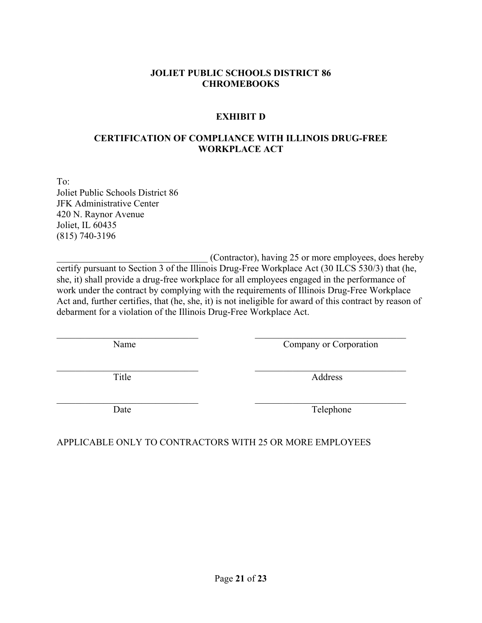### **EXHIBIT D**

### **CERTIFICATION OF COMPLIANCE WITH ILLINOIS DRUG-FREE WORKPLACE ACT**

To: Joliet Public Schools District 86 JFK Administrative Center 420 N. Raynor Avenue Joliet, IL 60435 (815) 740-3196

(Contractor), having 25 or more employees, does hereby certify pursuant to Section 3 of the Illinois Drug-Free Workplace Act (30 ILCS 530/3) that (he, she, it) shall provide a drug-free workplace for all employees engaged in the performance of work under the contract by complying with the requirements of Illinois Drug-Free Workplace Act and, further certifies, that (he, she, it) is not ineligible for award of this contract by reason of debarment for a violation of the Illinois Drug-Free Workplace Act.

Name Company or Corporation

Title Address

Date Telephone

APPLICABLE ONLY TO CONTRACTORS WITH 25 OR MORE EMPLOYEES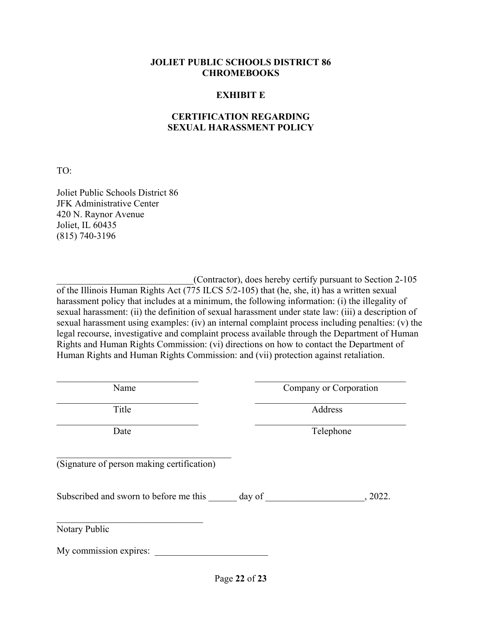#### **EXHIBIT E**

### **CERTIFICATION REGARDING SEXUAL HARASSMENT POLICY**

TO:

Joliet Public Schools District 86 JFK Administrative Center 420 N. Raynor Avenue Joliet, IL 60435 (815) 740-3196

(Contractor), does hereby certify pursuant to Section 2-105 of the Illinois Human Rights Act (775 ILCS 5/2-105) that (he, she, it) has a written sexual harassment policy that includes at a minimum, the following information: (i) the illegality of sexual harassment: (ii) the definition of sexual harassment under state law: (iii) a description of sexual harassment using examples: (iv) an internal complaint process including penalties: (v) the legal recourse, investigative and complaint process available through the Department of Human Rights and Human Rights Commission: (vi) directions on how to contact the Department of Human Rights and Human Rights Commission: and (vii) protection against retaliation.

Name Company or Corporation

Title Address

Date Telephone

(Signature of person making certification)

Subscribed and sworn to before me this day of \_\_\_\_\_\_\_\_\_\_\_\_\_\_\_\_\_\_\_\_, 2022.

Notary Public

My commission expires: \_\_\_\_\_\_\_\_\_\_\_\_\_\_\_\_\_\_\_\_\_\_\_\_